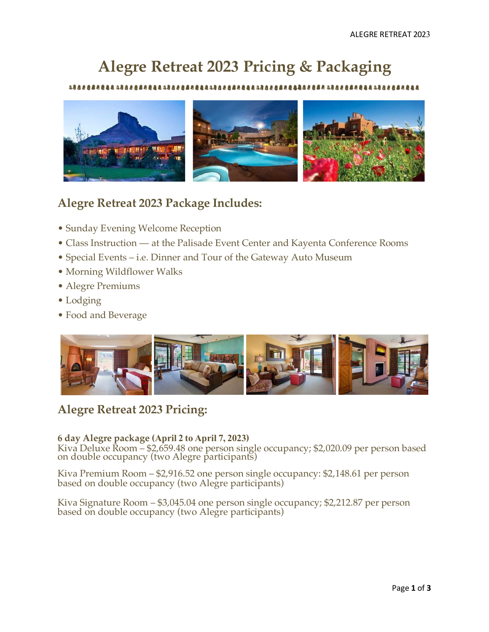# **Alegre Retreat 2023 Pricing & Packaging**

8**84444884844** 



# **Alegre Retreat 2023 Package Includes:**

- Sunday Evening Welcome Reception
- Class Instruction at the Palisade Event Center and Kayenta Conference Rooms
- Special Events i.e. Dinner and Tour of the Gateway Auto Museum
- Morning Wildflower Walks
- Alegre Premiums
- Lodging
- Food and Beverage



# **Alegre Retreat 2023 Pricing:**

## **6 day Alegre package (April 2 to April 7, 2023)**

Kiva Deluxe Room – \$2,659.48 one person single occupancy; \$2,020.09 per person based on double occupancy (two Alegre participants)

Kiva Premium Room – \$2,916.52 one person single occupancy: \$2,148.61 per person based on double occupancy (two Alegre participants)

Kiva Signature Room – \$3,045.04 one person single occupancy; \$2,212.87 per person based on double occupancy (two Alegre participants)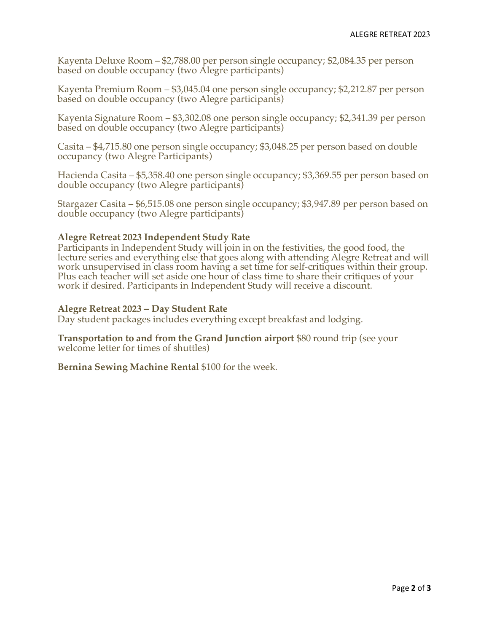Kayenta Deluxe Room – \$2,788.00 per person single occupancy; \$2,084.35 per person based on double occupancy (two Alegre participants)

Kayenta Premium Room – \$3,045.04 one person single occupancy; \$2,212.87 per person based on double occupancy (two Alegre participants)

Kayenta Signature Room – \$3,302.08 one person single occupancy; \$2,341.39 per person based on double occupancy (two Alegre participants)

Casita – \$4,715.80 one person single occupancy; \$3,048.25 per person based on double occupancy (two Alegre Participants)

Hacienda Casita – \$5,358.40 one person single occupancy; \$3,369.55 per person based on double occupancy (two Alegre participants)

Stargazer Casita – \$6,515.08 one person single occupancy; \$3,947.89 per person based on double occupancy (two Alegre participants)

## **Alegre Retreat 2023 Independent Study Rate**

Participants in Independent Study will join in on the festivities, the good food, the lecture series and everything else that goes along with attending Alegre Retreat and will work unsupervised in class room having a set time for self-critiques within their group. Plus each teacher will set aside one hour of class time to share their critiques of your work if desired. Participants in Independent Study will receive a discount.

### **Alegre Retreat 2023 – Day Student Rate**

Day student packages includes everything except breakfast and lodging.

**Transportation to and from the Grand Junction airport** \$80 round trip (see your welcome letter for times of shuttles)

**Bernina Sewing Machine Rental** \$100 for the week.